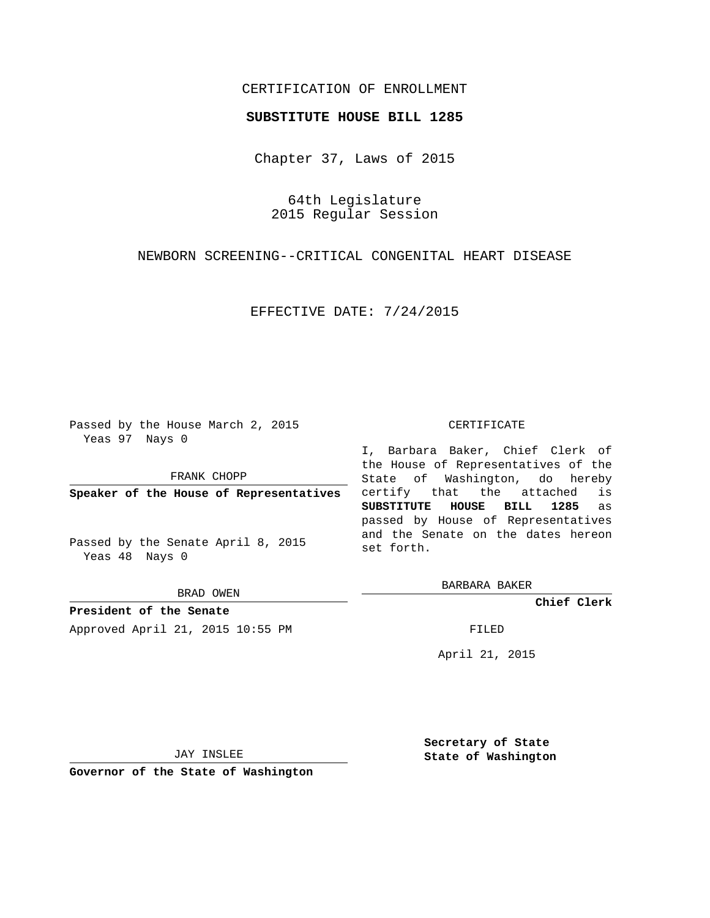# CERTIFICATION OF ENROLLMENT

### **SUBSTITUTE HOUSE BILL 1285**

Chapter 37, Laws of 2015

64th Legislature 2015 Regular Session

NEWBORN SCREENING--CRITICAL CONGENITAL HEART DISEASE

EFFECTIVE DATE: 7/24/2015

Passed by the House March 2, 2015 Yeas 97 Nays 0

FRANK CHOPP

**Speaker of the House of Representatives**

Passed by the Senate April 8, 2015 Yeas 48 Nays 0

BRAD OWEN

**President of the Senate** Approved April 21, 2015 10:55 PM FILED

#### CERTIFICATE

I, Barbara Baker, Chief Clerk of the House of Representatives of the State of Washington, do hereby certify that the attached is **SUBSTITUTE HOUSE BILL 1285** as passed by House of Representatives and the Senate on the dates hereon set forth.

BARBARA BAKER

**Chief Clerk**

April 21, 2015

JAY INSLEE

**Governor of the State of Washington**

**Secretary of State State of Washington**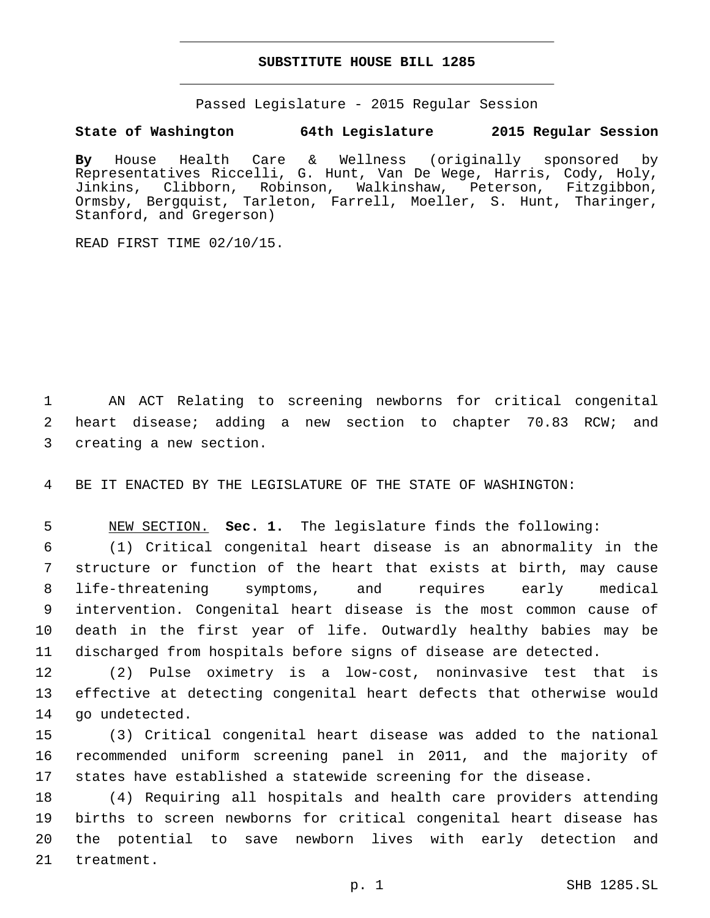# **SUBSTITUTE HOUSE BILL 1285**

Passed Legislature - 2015 Regular Session

# **State of Washington 64th Legislature 2015 Regular Session**

**By** House Health Care & Wellness (originally sponsored by Representatives Riccelli, G. Hunt, Van De Wege, Harris, Cody, Holy, Jinkins, Clibborn, Robinson, Walkinshaw, Peterson, Fitzgibbon, Ormsby, Bergquist, Tarleton, Farrell, Moeller, S. Hunt, Tharinger, Stanford, and Gregerson)

READ FIRST TIME 02/10/15.

1 AN ACT Relating to screening newborns for critical congenital 2 heart disease; adding a new section to chapter 70.83 RCW; and 3 creating a new section.

4 BE IT ENACTED BY THE LEGISLATURE OF THE STATE OF WASHINGTON:

5 NEW SECTION. **Sec. 1.** The legislature finds the following:

 (1) Critical congenital heart disease is an abnormality in the structure or function of the heart that exists at birth, may cause life-threatening symptoms, and requires early medical intervention. Congenital heart disease is the most common cause of death in the first year of life. Outwardly healthy babies may be discharged from hospitals before signs of disease are detected.

12 (2) Pulse oximetry is a low-cost, noninvasive test that is 13 effective at detecting congenital heart defects that otherwise would 14 go undetected.

15 (3) Critical congenital heart disease was added to the national 16 recommended uniform screening panel in 2011, and the majority of 17 states have established a statewide screening for the disease.

 (4) Requiring all hospitals and health care providers attending births to screen newborns for critical congenital heart disease has the potential to save newborn lives with early detection and 21 treatment.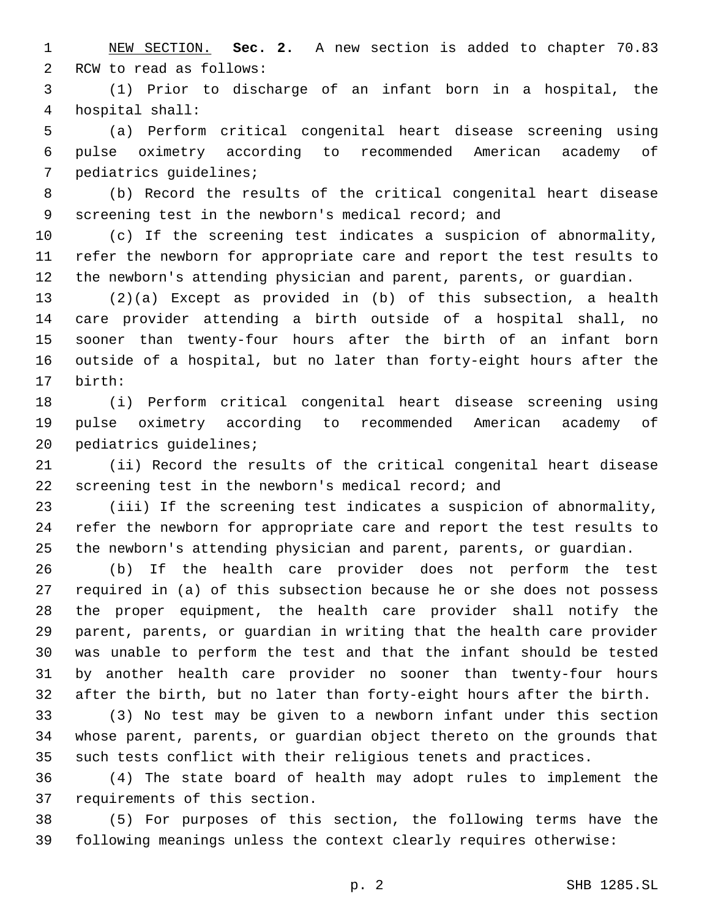NEW SECTION. **Sec. 2.** A new section is added to chapter 70.83 2 RCW to read as follows:

 (1) Prior to discharge of an infant born in a hospital, the hospital shall:4

 (a) Perform critical congenital heart disease screening using pulse oximetry according to recommended American academy of 7 pediatrics quidelines;

 (b) Record the results of the critical congenital heart disease screening test in the newborn's medical record; and

 (c) If the screening test indicates a suspicion of abnormality, refer the newborn for appropriate care and report the test results to the newborn's attending physician and parent, parents, or guardian.

 (2)(a) Except as provided in (b) of this subsection, a health care provider attending a birth outside of a hospital shall, no sooner than twenty-four hours after the birth of an infant born outside of a hospital, but no later than forty-eight hours after the birth:17

 (i) Perform critical congenital heart disease screening using pulse oximetry according to recommended American academy of 20 pediatrics guidelines;

 (ii) Record the results of the critical congenital heart disease screening test in the newborn's medical record; and

 (iii) If the screening test indicates a suspicion of abnormality, refer the newborn for appropriate care and report the test results to the newborn's attending physician and parent, parents, or guardian.

 (b) If the health care provider does not perform the test required in (a) of this subsection because he or she does not possess the proper equipment, the health care provider shall notify the parent, parents, or guardian in writing that the health care provider was unable to perform the test and that the infant should be tested by another health care provider no sooner than twenty-four hours after the birth, but no later than forty-eight hours after the birth.

 (3) No test may be given to a newborn infant under this section whose parent, parents, or guardian object thereto on the grounds that such tests conflict with their religious tenets and practices.

 (4) The state board of health may adopt rules to implement the 37 requirements of this section.

 (5) For purposes of this section, the following terms have the following meanings unless the context clearly requires otherwise: